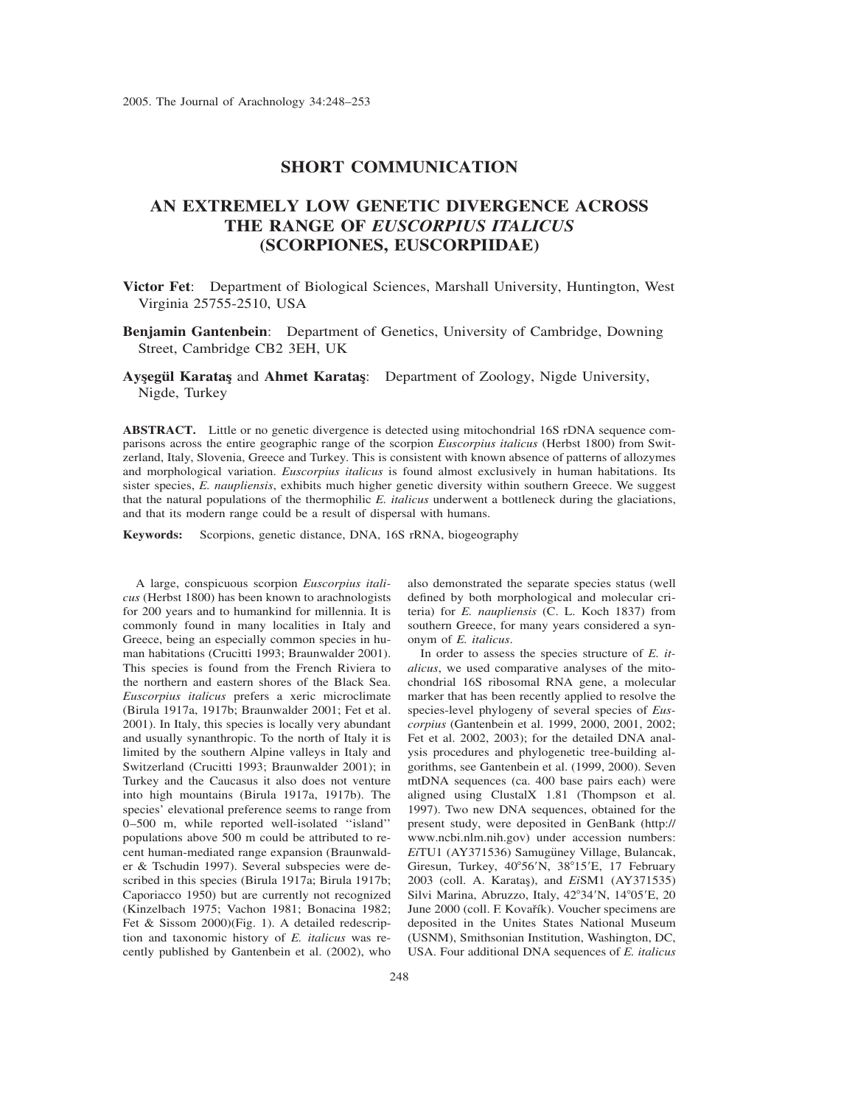## **SHORT COMMUNICATION**

## **AN EXTREMELY LOW GENETIC DIVERGENCE ACROSS THE RANGE OF** *EUSCORPIUS ITALICUS* **(SCORPIONES, EUSCORPIIDAE)**

**Victor Fet**: Department of Biological Sciences, Marshall University, Huntington, West Virginia 25755-2510, USA

**Benjamin Gantenbein**: Department of Genetics, University of Cambridge, Downing Street, Cambridge CB2 3EH, UK

Aysegül Karatas and Ahmet Karatas: Department of Zoology, Nigde University, Nigde, Turkey

**ABSTRACT.** Little or no genetic divergence is detected using mitochondrial 16S rDNA sequence comparisons across the entire geographic range of the scorpion *Euscorpius italicus* (Herbst 1800) from Switzerland, Italy, Slovenia, Greece and Turkey. This is consistent with known absence of patterns of allozymes and morphological variation. *Euscorpius italicus* is found almost exclusively in human habitations. Its sister species, *E. naupliensis*, exhibits much higher genetic diversity within southern Greece. We suggest that the natural populations of the thermophilic *E. italicus* underwent a bottleneck during the glaciations, and that its modern range could be a result of dispersal with humans.

**Keywords:** Scorpions, genetic distance, DNA, 16S rRNA, biogeography

A large, conspicuous scorpion *Euscorpius italicus* (Herbst 1800) has been known to arachnologists for 200 years and to humankind for millennia. It is commonly found in many localities in Italy and Greece, being an especially common species in human habitations (Crucitti 1993; Braunwalder 2001). This species is found from the French Riviera to the northern and eastern shores of the Black Sea. *Euscorpius italicus* prefers a xeric microclimate (Birula 1917a, 1917b; Braunwalder 2001; Fet et al. 2001). In Italy, this species is locally very abundant and usually synanthropic. To the north of Italy it is limited by the southern Alpine valleys in Italy and Switzerland (Crucitti 1993; Braunwalder 2001); in Turkey and the Caucasus it also does not venture into high mountains (Birula 1917a, 1917b). The species' elevational preference seems to range from 0–500 m, while reported well-isolated ''island'' populations above 500 m could be attributed to recent human-mediated range expansion (Braunwalder & Tschudin 1997). Several subspecies were described in this species (Birula 1917a; Birula 1917b; Caporiacco 1950) but are currently not recognized (Kinzelbach 1975; Vachon 1981; Bonacina 1982; Fet & Sissom 2000)(Fig. 1). A detailed redescription and taxonomic history of *E. italicus* was recently published by Gantenbein et al. (2002), who

also demonstrated the separate species status (well defined by both morphological and molecular criteria) for *E. naupliensis* (C. L. Koch 1837) from southern Greece, for many years considered a synonym of *E. italicus*.

In order to assess the species structure of *E. italicus*, we used comparative analyses of the mitochondrial 16S ribosomal RNA gene, a molecular marker that has been recently applied to resolve the species-level phylogeny of several species of *Euscorpius* (Gantenbein et al. 1999, 2000, 2001, 2002; Fet et al. 2002, 2003); for the detailed DNA analysis procedures and phylogenetic tree-building algorithms, see Gantenbein et al. (1999, 2000). Seven mtDNA sequences (ca. 400 base pairs each) were aligned using ClustalX 1.81 (Thompson et al. 1997). Two new DNA sequences, obtained for the present study, were deposited in GenBank (http:// www.ncbi.nlm.nih.gov) under accession numbers: EiTU1 (AY371536) Samugüney Village, Bulancak, Giresun, Turkey, 40°56'N, 38°15'E, 17 February 2003 (coll. A. Karatas¸), and *Ei*SM1 (AY371535) Silvi Marina, Abruzzo, Italy, 42°34'N, 14°05'E, 20 June 2000 (coll. F. Kovařík). Voucher specimens are deposited in the Unites States National Museum (USNM), Smithsonian Institution, Washington, DC, USA. Four additional DNA sequences of *E. italicus*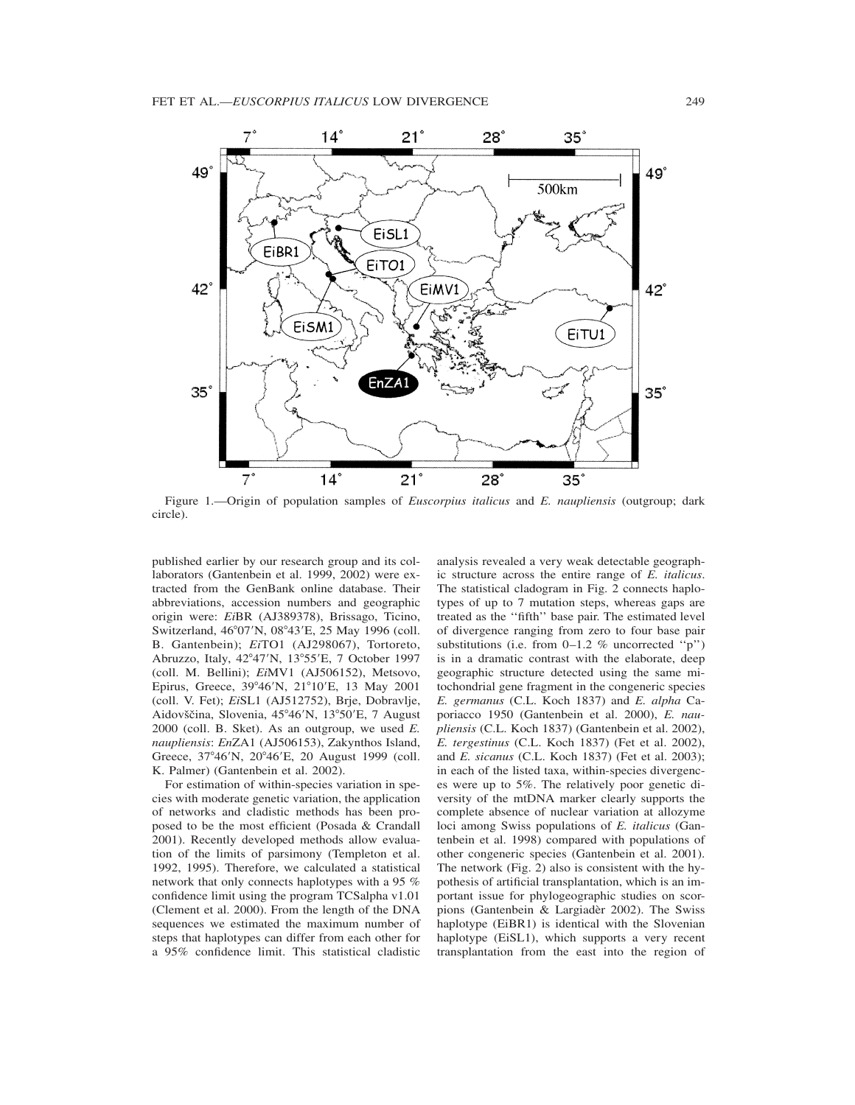

Figure 1.—Origin of population samples of *Euscorpius italicus* and *E. naupliensis* (outgroup; dark circle).

published earlier by our research group and its collaborators (Gantenbein et al. 1999, 2002) were extracted from the GenBank online database. Their abbreviations, accession numbers and geographic origin were: *Ei*BR (AJ389378), Brissago, Ticino, Switzerland, 46°07'N, 08°43'E, 25 May 1996 (coll. B. Gantenbein); *Ei*TO1 (AJ298067), Tortoreto, Abruzzo, Italy, 42°47'N, 13°55'E, 7 October 1997 (coll. M. Bellini); *Ei*MV1 (AJ506152), Metsovo, Epirus, Greece, 39°46'N, 21°10'E, 13 May 2001 (coll. V. Fet); *Ei*SL1 (AJ512752), Brje, Dobravlje, Aidovščina, Slovenia, 45°46'N, 13°50'E, 7 August 2000 (coll. B. Sket). As an outgroup, we used *E. naupliensis*: *En*ZA1 (AJ506153), Zakynthos Island, Greece, 37°46'N, 20°46'E, 20 August 1999 (coll. K. Palmer) (Gantenbein et al. 2002).

For estimation of within-species variation in species with moderate genetic variation, the application of networks and cladistic methods has been proposed to be the most efficient (Posada & Crandall 2001). Recently developed methods allow evaluation of the limits of parsimony (Templeton et al. 1992, 1995). Therefore, we calculated a statistical network that only connects haplotypes with a 95 % confidence limit using the program TCSalpha v1.01 (Clement et al. 2000). From the length of the DNA sequences we estimated the maximum number of steps that haplotypes can differ from each other for a 95% confidence limit. This statistical cladistic analysis revealed a very weak detectable geographic structure across the entire range of *E. italicus*. The statistical cladogram in Fig. 2 connects haplotypes of up to 7 mutation steps, whereas gaps are treated as the ''fifth'' base pair. The estimated level of divergence ranging from zero to four base pair substitutions (i.e. from  $0-1.2$  % uncorrected "p") is in a dramatic contrast with the elaborate, deep geographic structure detected using the same mitochondrial gene fragment in the congeneric species *E. germanus* (C.L. Koch 1837) and *E. alpha* Caporiacco 1950 (Gantenbein et al. 2000), *E. naupliensis* (C.L. Koch 1837) (Gantenbein et al. 2002), *E. tergestinus* (C.L. Koch 1837) (Fet et al. 2002), and *E. sicanus* (C.L. Koch 1837) (Fet et al. 2003); in each of the listed taxa, within-species divergences were up to 5%. The relatively poor genetic diversity of the mtDNA marker clearly supports the complete absence of nuclear variation at allozyme loci among Swiss populations of *E. italicus* (Gantenbein et al. 1998) compared with populations of other congeneric species (Gantenbein et al. 2001). The network (Fig. 2) also is consistent with the hypothesis of artificial transplantation, which is an important issue for phylogeographic studies on scorpions (Gantenbein  $&$  Largiadèr 2002). The Swiss haplotype (EiBR1) is identical with the Slovenian haplotype (EiSL1), which supports a very recent transplantation from the east into the region of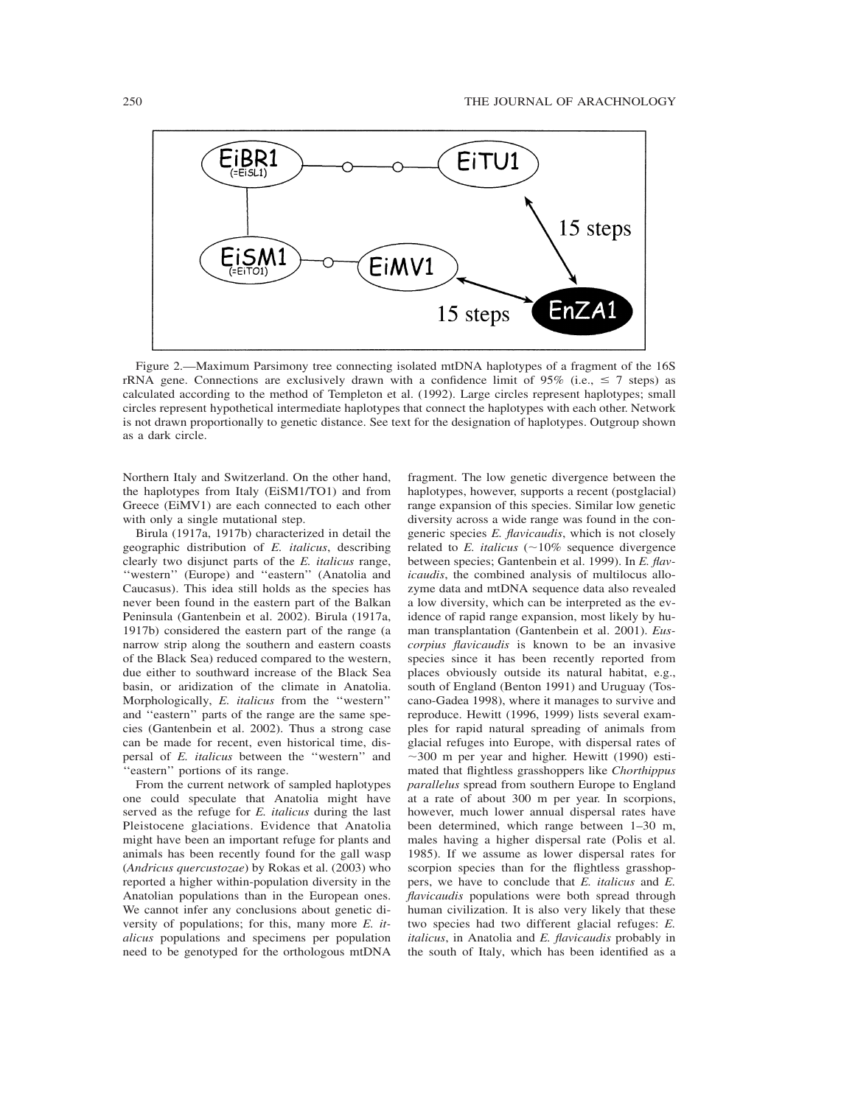

Figure 2.—Maximum Parsimony tree connecting isolated mtDNA haplotypes of a fragment of the 16S rRNA gene. Connections are exclusively drawn with a confidence limit of 95% (i.e.,  $\leq 7$  steps) as calculated according to the method of Templeton et al. (1992). Large circles represent haplotypes; small circles represent hypothetical intermediate haplotypes that connect the haplotypes with each other. Network is not drawn proportionally to genetic distance. See text for the designation of haplotypes. Outgroup shown as a dark circle.

Northern Italy and Switzerland. On the other hand, the haplotypes from Italy (EiSM1/TO1) and from Greece (EiMV1) are each connected to each other with only a single mutational step.

Birula (1917a, 1917b) characterized in detail the geographic distribution of *E. italicus*, describing clearly two disjunct parts of the *E. italicus* range, ''western'' (Europe) and ''eastern'' (Anatolia and Caucasus). This idea still holds as the species has never been found in the eastern part of the Balkan Peninsula (Gantenbein et al. 2002). Birula (1917a, 1917b) considered the eastern part of the range (a narrow strip along the southern and eastern coasts of the Black Sea) reduced compared to the western, due either to southward increase of the Black Sea basin, or aridization of the climate in Anatolia. Morphologically, *E. italicus* from the ''western'' and ''eastern'' parts of the range are the same species (Gantenbein et al. 2002). Thus a strong case can be made for recent, even historical time, dispersal of *E. italicus* between the ''western'' and ''eastern'' portions of its range.

From the current network of sampled haplotypes one could speculate that Anatolia might have served as the refuge for *E. italicus* during the last Pleistocene glaciations. Evidence that Anatolia might have been an important refuge for plants and animals has been recently found for the gall wasp (*Andricus quercustozae*) by Rokas et al. (2003) who reported a higher within-population diversity in the Anatolian populations than in the European ones. We cannot infer any conclusions about genetic diversity of populations; for this, many more *E. italicus* populations and specimens per population need to be genotyped for the orthologous mtDNA

fragment. The low genetic divergence between the haplotypes, however, supports a recent (postglacial) range expansion of this species. Similar low genetic diversity across a wide range was found in the congeneric species *E. flavicaudis*, which is not closely related to  $E$ . *italicus* ( $\sim$ 10% sequence divergence between species; Gantenbein et al. 1999). In *E. flavicaudis*, the combined analysis of multilocus allozyme data and mtDNA sequence data also revealed a low diversity, which can be interpreted as the evidence of rapid range expansion, most likely by human transplantation (Gantenbein et al. 2001). *Euscorpius flavicaudis* is known to be an invasive species since it has been recently reported from places obviously outside its natural habitat, e.g., south of England (Benton 1991) and Uruguay (Toscano-Gadea 1998), where it manages to survive and reproduce. Hewitt (1996, 1999) lists several examples for rapid natural spreading of animals from glacial refuges into Europe, with dispersal rates of  $\sim$ 300 m per year and higher. Hewitt (1990) estimated that flightless grasshoppers like *Chorthippus parallelus* spread from southern Europe to England at a rate of about 300 m per year. In scorpions, however, much lower annual dispersal rates have been determined, which range between 1–30 m, males having a higher dispersal rate (Polis et al. 1985). If we assume as lower dispersal rates for scorpion species than for the flightless grasshoppers, we have to conclude that *E. italicus* and *E. flavicaudis* populations were both spread through human civilization. It is also very likely that these two species had two different glacial refuges: *E. italicus*, in Anatolia and *E. flavicaudis* probably in the south of Italy, which has been identified as a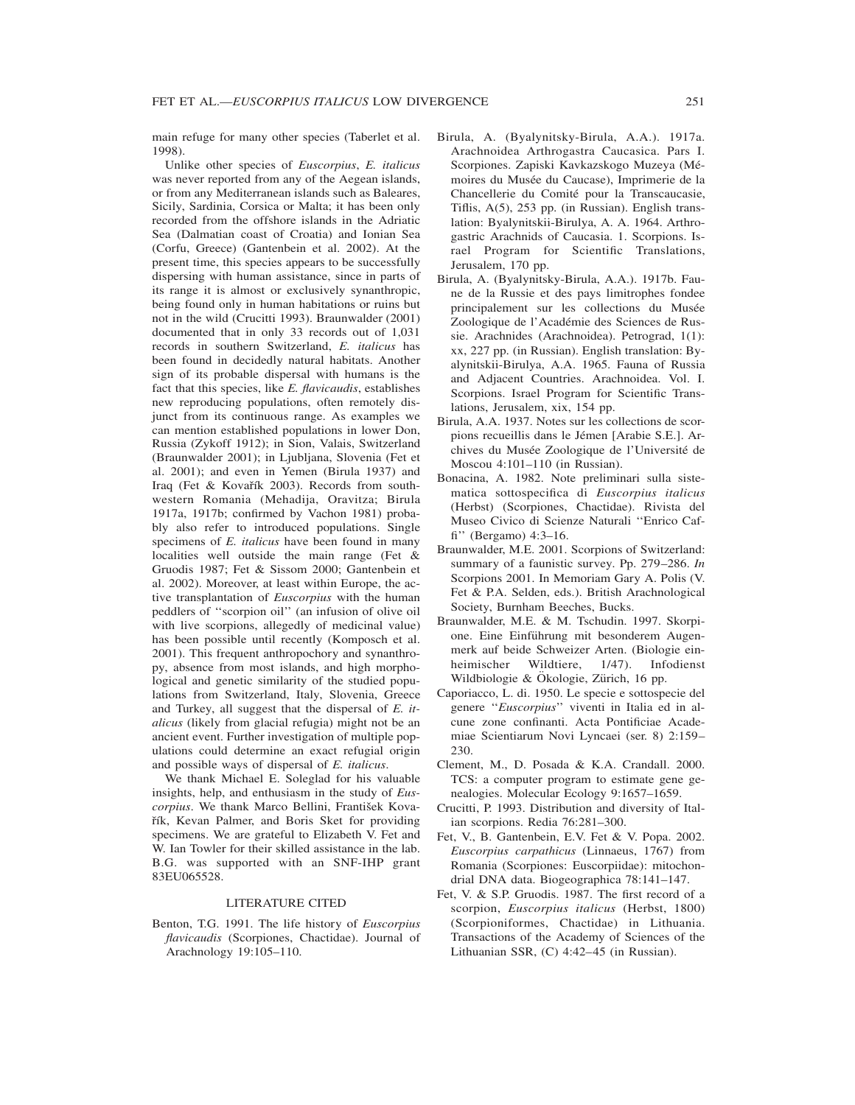main refuge for many other species (Taberlet et al. 1998).

Unlike other species of *Euscorpius*, *E. italicus* was never reported from any of the Aegean islands, or from any Mediterranean islands such as Baleares, Sicily, Sardinia, Corsica or Malta; it has been only recorded from the offshore islands in the Adriatic Sea (Dalmatian coast of Croatia) and Ionian Sea (Corfu, Greece) (Gantenbein et al. 2002). At the present time, this species appears to be successfully dispersing with human assistance, since in parts of its range it is almost or exclusively synanthropic, being found only in human habitations or ruins but not in the wild (Crucitti 1993). Braunwalder (2001) documented that in only 33 records out of 1,031 records in southern Switzerland, *E. italicus* has been found in decidedly natural habitats. Another sign of its probable dispersal with humans is the fact that this species, like *E. flavicaudis*, establishes new reproducing populations, often remotely disjunct from its continuous range. As examples we can mention established populations in lower Don, Russia (Zykoff 1912); in Sion, Valais, Switzerland (Braunwalder 2001); in Ljubljana, Slovenia (Fet et al. 2001); and even in Yemen (Birula 1937) and Iraq (Fet & Kovařík 2003). Records from southwestern Romania (Mehadija, Oravitza; Birula 1917a, 1917b; confirmed by Vachon 1981) probably also refer to introduced populations. Single specimens of *E. italicus* have been found in many localities well outside the main range (Fet & Gruodis 1987; Fet & Sissom 2000; Gantenbein et al. 2002). Moreover, at least within Europe, the active transplantation of *Euscorpius* with the human peddlers of ''scorpion oil'' (an infusion of olive oil with live scorpions, allegedly of medicinal value) has been possible until recently (Komposch et al. 2001). This frequent anthropochory and synanthropy, absence from most islands, and high morphological and genetic similarity of the studied populations from Switzerland, Italy, Slovenia, Greece and Turkey, all suggest that the dispersal of *E. italicus* (likely from glacial refugia) might not be an ancient event. Further investigation of multiple populations could determine an exact refugial origin and possible ways of dispersal of *E. italicus*.

We thank Michael E. Soleglad for his valuable insights, help, and enthusiasm in the study of *Euscorpius*. We thank Marco Bellini, František Kovařík, Kevan Palmer, and Boris Sket for providing specimens. We are grateful to Elizabeth V. Fet and W. Ian Towler for their skilled assistance in the lab. B.G. was supported with an SNF-IHP grant 83EU065528.

## LITERATURE CITED

Benton, T.G. 1991. The life history of *Euscorpius flavicaudis* (Scorpiones, Chactidae). Journal of Arachnology 19:105–110.

- Birula, A. (Byalynitsky-Birula, A.A.). 1917a. Arachnoidea Arthrogastra Caucasica. Pars I. Scorpiones. Zapiski Kavkazskogo Muzeya (Mémoires du Musée du Caucase), Imprimerie de la Chancellerie du Comité pour la Transcaucasie, Tiflis, A(5), 253 pp. (in Russian). English translation: Byalynitskii-Birulya, A. A. 1964. Arthrogastric Arachnids of Caucasia. 1. Scorpions. Israel Program for Scientific Translations, Jerusalem, 170 pp.
- Birula, A. (Byalynitsky-Birula, A.A.). 1917b. Faune de la Russie et des pays limitrophes fondee principalement sur les collections du Musée Zoologique de l'Académie des Sciences de Russie. Arachnides (Arachnoidea). Petrograd, 1(1): xx, 227 pp. (in Russian). English translation: Byalynitskii-Birulya, A.A. 1965. Fauna of Russia and Adjacent Countries. Arachnoidea. Vol. I. Scorpions. Israel Program for Scientific Translations, Jerusalem, xix, 154 pp.
- Birula, A.A. 1937. Notes sur les collections de scorpions recueillis dans le Jémen [Arabie S.E.]. Archives du Musée Zoologique de l'Université de Moscou 4:101–110 (in Russian).
- Bonacina, A. 1982. Note preliminari sulla sistematica sottospecifica di *Euscorpius italicus* (Herbst) (Scorpiones, Chactidae). Rivista del Museo Civico di Scienze Naturali ''Enrico Caffi'' (Bergamo) 4:3–16.
- Braunwalder, M.E. 2001. Scorpions of Switzerland: summary of a faunistic survey. Pp. 279–286. *In* Scorpions 2001. In Memoriam Gary A. Polis (V. Fet & P.A. Selden, eds.). British Arachnological Society, Burnham Beeches, Bucks.
- Braunwalder, M.E. & M. Tschudin. 1997. Skorpione. Eine Einführung mit besonderem Augenmerk auf beide Schweizer Arten. (Biologie einheimischer Wildtiere, 1/47). Infodienst Wildbiologie & Ökologie, Zürich, 16 pp.
- Caporiacco, L. di. 1950. Le specie e sottospecie del genere ''*Euscorpius*'' viventi in Italia ed in alcune zone confinanti. Acta Pontificiae Academiae Scientiarum Novi Lyncaei (ser. 8) 2:159– 230.
- Clement, M., D. Posada & K.A. Crandall. 2000. TCS: a computer program to estimate gene genealogies. Molecular Ecology 9:1657–1659.
- Crucitti, P. 1993. Distribution and diversity of Italian scorpions. Redia 76:281–300.
- Fet, V., B. Gantenbein, E.V. Fet & V. Popa. 2002. *Euscorpius carpathicus* (Linnaeus, 1767) from Romania (Scorpiones: Euscorpiidae): mitochondrial DNA data. Biogeographica 78:141–147.
- Fet, V. & S.P. Gruodis. 1987. The first record of a scorpion, *Euscorpius italicus* (Herbst, 1800) (Scorpioniformes, Chactidae) in Lithuania. Transactions of the Academy of Sciences of the Lithuanian SSR, (C) 4:42–45 (in Russian).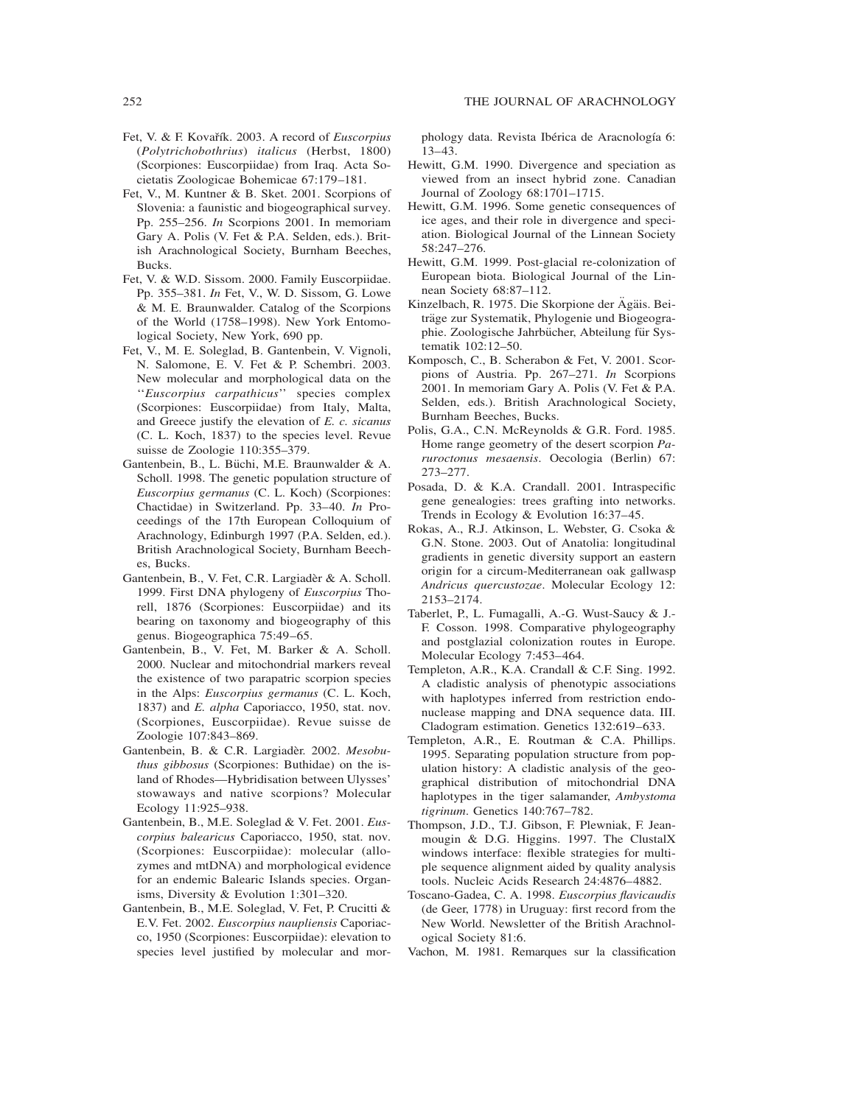- Fet, V. & F. Kovařík. 2003. A record of *Euscorpius* (*Polytrichobothrius*) *italicus* (Herbst, 1800) (Scorpiones: Euscorpiidae) from Iraq. Acta Societatis Zoologicae Bohemicae 67:179–181.
- Fet, V., M. Kuntner & B. Sket. 2001. Scorpions of Slovenia: a faunistic and biogeographical survey. Pp. 255–256. *In* Scorpions 2001. In memoriam Gary A. Polis (V. Fet & P.A. Selden, eds.). British Arachnological Society, Burnham Beeches, Bucks.
- Fet, V. & W.D. Sissom. 2000. Family Euscorpiidae. Pp. 355–381. *In* Fet, V., W. D. Sissom, G. Lowe & M. E. Braunwalder. Catalog of the Scorpions of the World (1758–1998). New York Entomological Society, New York, 690 pp.
- Fet, V., M. E. Soleglad, B. Gantenbein, V. Vignoli, N. Salomone, E. V. Fet & P. Schembri. 2003. New molecular and morphological data on the ''*Euscorpius carpathicus*'' species complex (Scorpiones: Euscorpiidae) from Italy, Malta, and Greece justify the elevation of *E. c. sicanus* (C. L. Koch, 1837) to the species level. Revue suisse de Zoologie 110:355–379.
- Gantenbein, B., L. Büchi, M.E. Braunwalder & A. Scholl. 1998. The genetic population structure of *Euscorpius germanus* (C. L. Koch) (Scorpiones: Chactidae) in Switzerland. Pp. 33–40. *In* Proceedings of the 17th European Colloquium of Arachnology, Edinburgh 1997 (P.A. Selden, ed.). British Arachnological Society, Burnham Beeches, Bucks.
- Gantenbein, B., V. Fet, C.R. Largiadèr & A. Scholl. 1999. First DNA phylogeny of *Euscorpius* Thorell, 1876 (Scorpiones: Euscorpiidae) and its bearing on taxonomy and biogeography of this genus. Biogeographica 75:49–65.
- Gantenbein, B., V. Fet, M. Barker & A. Scholl. 2000. Nuclear and mitochondrial markers reveal the existence of two parapatric scorpion species in the Alps: *Euscorpius germanus* (C. L. Koch, 1837) and *E. alpha* Caporiacco, 1950, stat. nov. (Scorpiones, Euscorpiidae). Revue suisse de Zoologie 107:843–869.
- Gantenbein, B. & C.R. Largiadèr. 2002. Mesobu*thus gibbosus* (Scorpiones: Buthidae) on the island of Rhodes—Hybridisation between Ulysses' stowaways and native scorpions? Molecular Ecology 11:925–938.
- Gantenbein, B., M.E. Soleglad & V. Fet. 2001. *Euscorpius balearicus* Caporiacco, 1950, stat. nov. (Scorpiones: Euscorpiidae): molecular (allozymes and mtDNA) and morphological evidence for an endemic Balearic Islands species. Organisms, Diversity & Evolution 1:301–320.
- Gantenbein, B., M.E. Soleglad, V. Fet, P. Crucitti & E.V. Fet. 2002. *Euscorpius naupliensis* Caporiacco, 1950 (Scorpiones: Euscorpiidae): elevation to species level justified by molecular and mor-

phology data. Revista Ibérica de Aracnología 6: 13–43.

- Hewitt, G.M. 1990. Divergence and speciation as viewed from an insect hybrid zone. Canadian Journal of Zoology 68:1701–1715.
- Hewitt, G.M. 1996. Some genetic consequences of ice ages, and their role in divergence and speciation. Biological Journal of the Linnean Society 58:247–276.
- Hewitt, G.M. 1999. Post-glacial re-colonization of European biota. Biological Journal of the Linnean Society 68:87–112.
- Kinzelbach, R. 1975. Die Skorpione der Ägäis. Beiträge zur Systematik, Phylogenie und Biogeographie. Zoologische Jahrbücher, Abteilung für Systematik 102:12–50.
- Komposch, C., B. Scherabon & Fet, V. 2001. Scorpions of Austria. Pp. 267–271. *In* Scorpions 2001. In memoriam Gary A. Polis (V. Fet & P.A. Selden, eds.). British Arachnological Society, Burnham Beeches, Bucks.
- Polis, G.A., C.N. McReynolds & G.R. Ford. 1985. Home range geometry of the desert scorpion *Paruroctonus mesaensis*. Oecologia (Berlin) 67: 273–277.
- Posada, D. & K.A. Crandall. 2001. Intraspecific gene genealogies: trees grafting into networks. Trends in Ecology & Evolution 16:37–45.
- Rokas, A., R.J. Atkinson, L. Webster, G. Csoka & G.N. Stone. 2003. Out of Anatolia: longitudinal gradients in genetic diversity support an eastern origin for a circum-Mediterranean oak gallwasp *Andricus quercustozae*. Molecular Ecology 12: 2153–2174.
- Taberlet, P., L. Fumagalli, A.-G. Wust-Saucy & J.- F. Cosson. 1998. Comparative phylogeography and postglazial colonization routes in Europe. Molecular Ecology 7:453–464.
- Templeton, A.R., K.A. Crandall & C.F. Sing. 1992. A cladistic analysis of phenotypic associations with haplotypes inferred from restriction endonuclease mapping and DNA sequence data. III. Cladogram estimation. Genetics 132:619–633.
- Templeton, A.R., E. Routman & C.A. Phillips. 1995. Separating population structure from population history: A cladistic analysis of the geographical distribution of mitochondrial DNA haplotypes in the tiger salamander, *Ambystoma tigrinum*. Genetics 140:767–782.
- Thompson, J.D., T.J. Gibson, F. Plewniak, F. Jeanmougin & D.G. Higgins. 1997. The ClustalX windows interface: flexible strategies for multiple sequence alignment aided by quality analysis tools. Nucleic Acids Research 24:4876–4882.
- Toscano-Gadea, C. A. 1998. *Euscorpius flavicaudis* (de Geer, 1778) in Uruguay: first record from the New World. Newsletter of the British Arachnological Society 81:6.
- Vachon, M. 1981. Remarques sur la classification